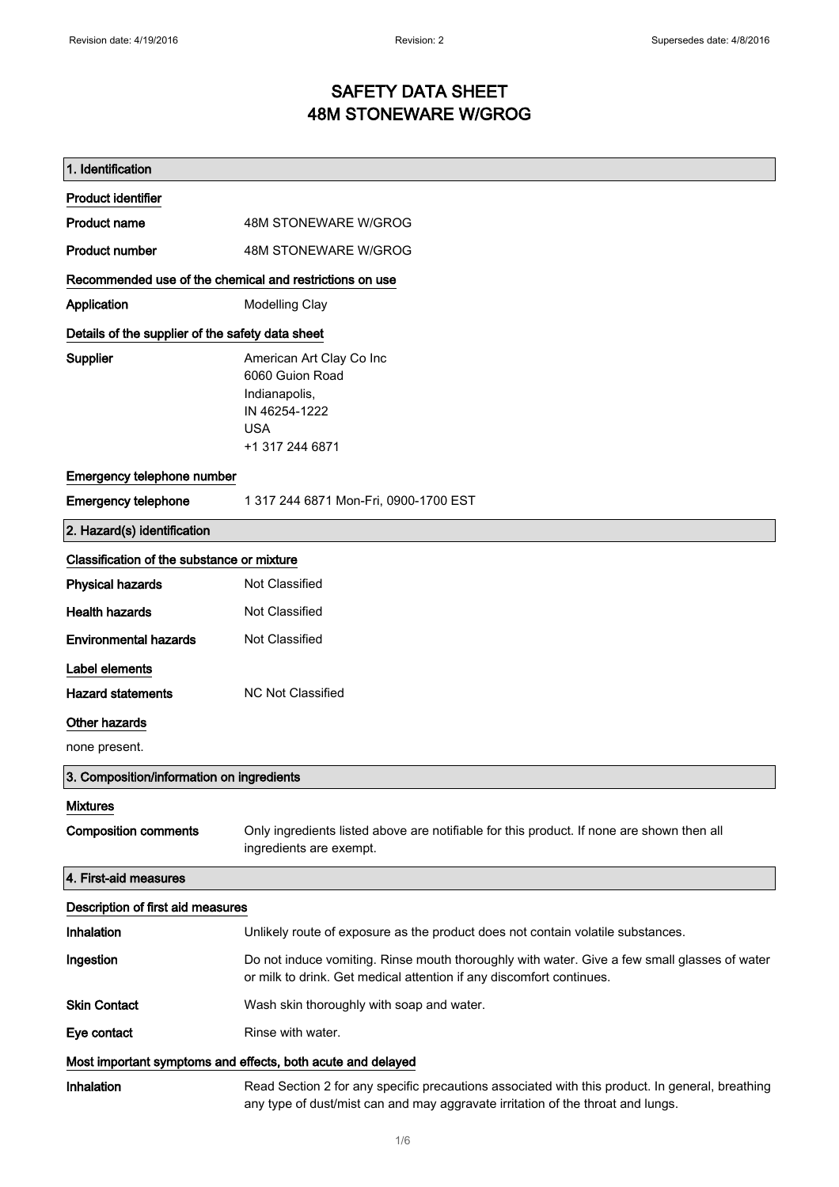## SAFETY DATA SHEET 48M STONEWARE W/GROG

| 1. Identification                                           |                                                                                                                                                                                    |  |
|-------------------------------------------------------------|------------------------------------------------------------------------------------------------------------------------------------------------------------------------------------|--|
| <b>Product identifier</b>                                   |                                                                                                                                                                                    |  |
| <b>Product name</b>                                         | 48M STONEWARE W/GROG                                                                                                                                                               |  |
| <b>Product number</b>                                       | 48M STONEWARE W/GROG                                                                                                                                                               |  |
| Recommended use of the chemical and restrictions on use     |                                                                                                                                                                                    |  |
| Application                                                 | Modelling Clay                                                                                                                                                                     |  |
| Details of the supplier of the safety data sheet            |                                                                                                                                                                                    |  |
| Supplier                                                    | American Art Clay Co Inc<br>6060 Guion Road<br>Indianapolis,<br>IN 46254-1222<br><b>USA</b><br>+1 317 244 6871                                                                     |  |
| Emergency telephone number                                  |                                                                                                                                                                                    |  |
| <b>Emergency telephone</b>                                  | 1 317 244 6871 Mon-Fri, 0900-1700 EST                                                                                                                                              |  |
| 2. Hazard(s) identification                                 |                                                                                                                                                                                    |  |
| Classification of the substance or mixture                  |                                                                                                                                                                                    |  |
| <b>Physical hazards</b>                                     | Not Classified                                                                                                                                                                     |  |
| <b>Health hazards</b>                                       | Not Classified                                                                                                                                                                     |  |
| <b>Environmental hazards</b>                                | Not Classified                                                                                                                                                                     |  |
| Label elements                                              |                                                                                                                                                                                    |  |
| <b>Hazard statements</b>                                    | <b>NC Not Classified</b>                                                                                                                                                           |  |
| Other hazards                                               |                                                                                                                                                                                    |  |
| none present.                                               |                                                                                                                                                                                    |  |
| 3. Composition/information on ingredients                   |                                                                                                                                                                                    |  |
| <b>Mixtures</b>                                             |                                                                                                                                                                                    |  |
| <b>Composition comments</b>                                 | Only ingredients listed above are notifiable for this product. If none are shown then all<br>ingredients are exempt.                                                               |  |
| 4. First-aid measures                                       |                                                                                                                                                                                    |  |
| Description of first aid measures                           |                                                                                                                                                                                    |  |
| Inhalation                                                  | Unlikely route of exposure as the product does not contain volatile substances.                                                                                                    |  |
| Ingestion                                                   | Do not induce vomiting. Rinse mouth thoroughly with water. Give a few small glasses of water<br>or milk to drink. Get medical attention if any discomfort continues.               |  |
| <b>Skin Contact</b>                                         | Wash skin thoroughly with soap and water.                                                                                                                                          |  |
| Eye contact                                                 | Rinse with water.                                                                                                                                                                  |  |
| Most important symptoms and effects, both acute and delayed |                                                                                                                                                                                    |  |
| Inhalation                                                  | Read Section 2 for any specific precautions associated with this product. In general, breathing<br>any type of dust/mist can and may aggravate irritation of the throat and lungs. |  |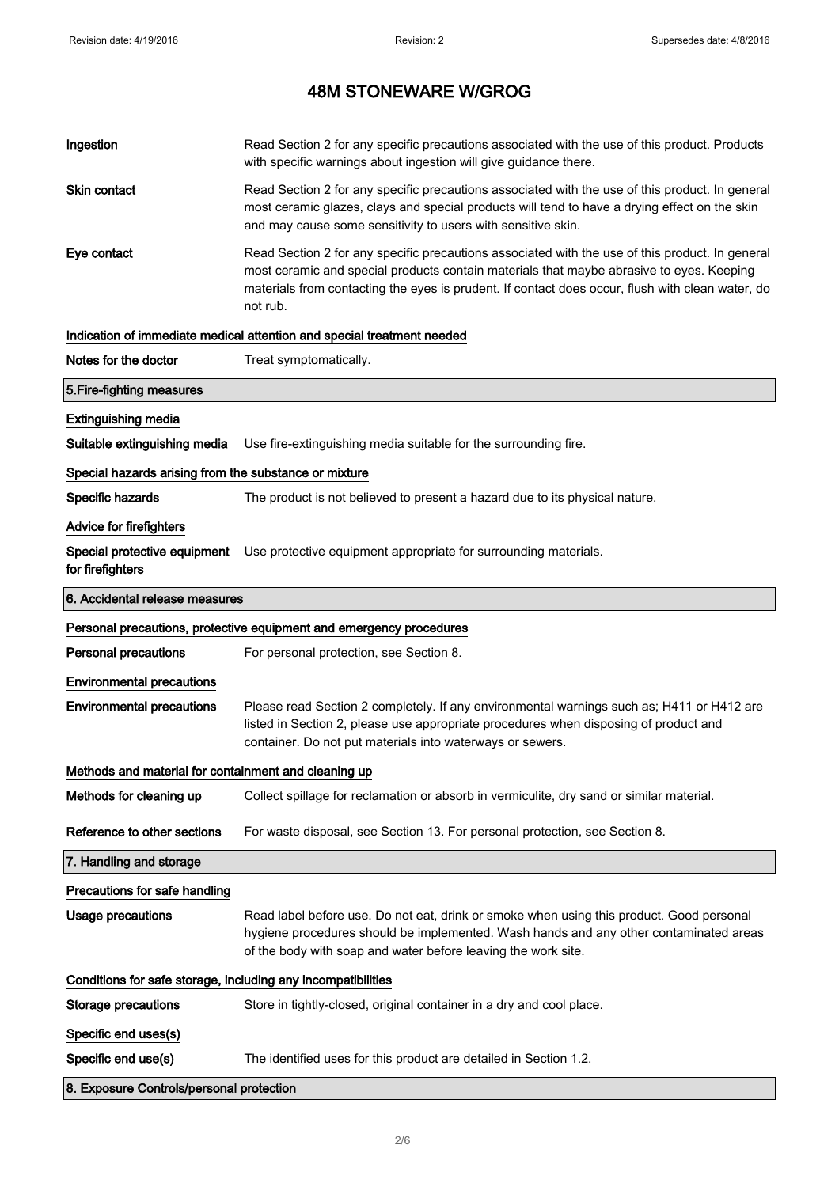| Ingestion                                                    | Read Section 2 for any specific precautions associated with the use of this product. Products<br>with specific warnings about ingestion will give guidance there.                                                                                                                                           |  |
|--------------------------------------------------------------|-------------------------------------------------------------------------------------------------------------------------------------------------------------------------------------------------------------------------------------------------------------------------------------------------------------|--|
| Skin contact                                                 | Read Section 2 for any specific precautions associated with the use of this product. In general<br>most ceramic glazes, clays and special products will tend to have a drying effect on the skin<br>and may cause some sensitivity to users with sensitive skin.                                            |  |
| Eye contact                                                  | Read Section 2 for any specific precautions associated with the use of this product. In general<br>most ceramic and special products contain materials that maybe abrasive to eyes. Keeping<br>materials from contacting the eyes is prudent. If contact does occur, flush with clean water, do<br>not rub. |  |
|                                                              | Indication of immediate medical attention and special treatment needed                                                                                                                                                                                                                                      |  |
| Notes for the doctor                                         | Treat symptomatically.                                                                                                                                                                                                                                                                                      |  |
| 5. Fire-fighting measures                                    |                                                                                                                                                                                                                                                                                                             |  |
| <b>Extinguishing media</b>                                   |                                                                                                                                                                                                                                                                                                             |  |
| Suitable extinguishing media                                 | Use fire-extinguishing media suitable for the surrounding fire.                                                                                                                                                                                                                                             |  |
| Special hazards arising from the substance or mixture        |                                                                                                                                                                                                                                                                                                             |  |
| Specific hazards                                             | The product is not believed to present a hazard due to its physical nature.                                                                                                                                                                                                                                 |  |
| Advice for firefighters                                      |                                                                                                                                                                                                                                                                                                             |  |
| Special protective equipment<br>for firefighters             | Use protective equipment appropriate for surrounding materials.                                                                                                                                                                                                                                             |  |
| 6. Accidental release measures                               |                                                                                                                                                                                                                                                                                                             |  |
|                                                              | Personal precautions, protective equipment and emergency procedures                                                                                                                                                                                                                                         |  |
| <b>Personal precautions</b>                                  | For personal protection, see Section 8.                                                                                                                                                                                                                                                                     |  |
| <b>Environmental precautions</b>                             |                                                                                                                                                                                                                                                                                                             |  |
| <b>Environmental precautions</b>                             | Please read Section 2 completely. If any environmental warnings such as; H411 or H412 are<br>listed in Section 2, please use appropriate procedures when disposing of product and<br>container. Do not put materials into waterways or sewers.                                                              |  |
| Methods and material for containment and cleaning up         |                                                                                                                                                                                                                                                                                                             |  |
| Methods for cleaning up                                      | Collect spillage for reclamation or absorb in vermiculite, dry sand or similar material.                                                                                                                                                                                                                    |  |
| Reference to other sections                                  | For waste disposal, see Section 13. For personal protection, see Section 8.                                                                                                                                                                                                                                 |  |
| 7. Handling and storage                                      |                                                                                                                                                                                                                                                                                                             |  |
| Precautions for safe handling                                |                                                                                                                                                                                                                                                                                                             |  |
| <b>Usage precautions</b>                                     | Read label before use. Do not eat, drink or smoke when using this product. Good personal<br>hygiene procedures should be implemented. Wash hands and any other contaminated areas<br>of the body with soap and water before leaving the work site.                                                          |  |
| Conditions for safe storage, including any incompatibilities |                                                                                                                                                                                                                                                                                                             |  |
| <b>Storage precautions</b>                                   | Store in tightly-closed, original container in a dry and cool place.                                                                                                                                                                                                                                        |  |
| Specific end uses(s)                                         |                                                                                                                                                                                                                                                                                                             |  |
| Specific end use(s)                                          | The identified uses for this product are detailed in Section 1.2.                                                                                                                                                                                                                                           |  |
| 8. Exposure Controls/personal protection                     |                                                                                                                                                                                                                                                                                                             |  |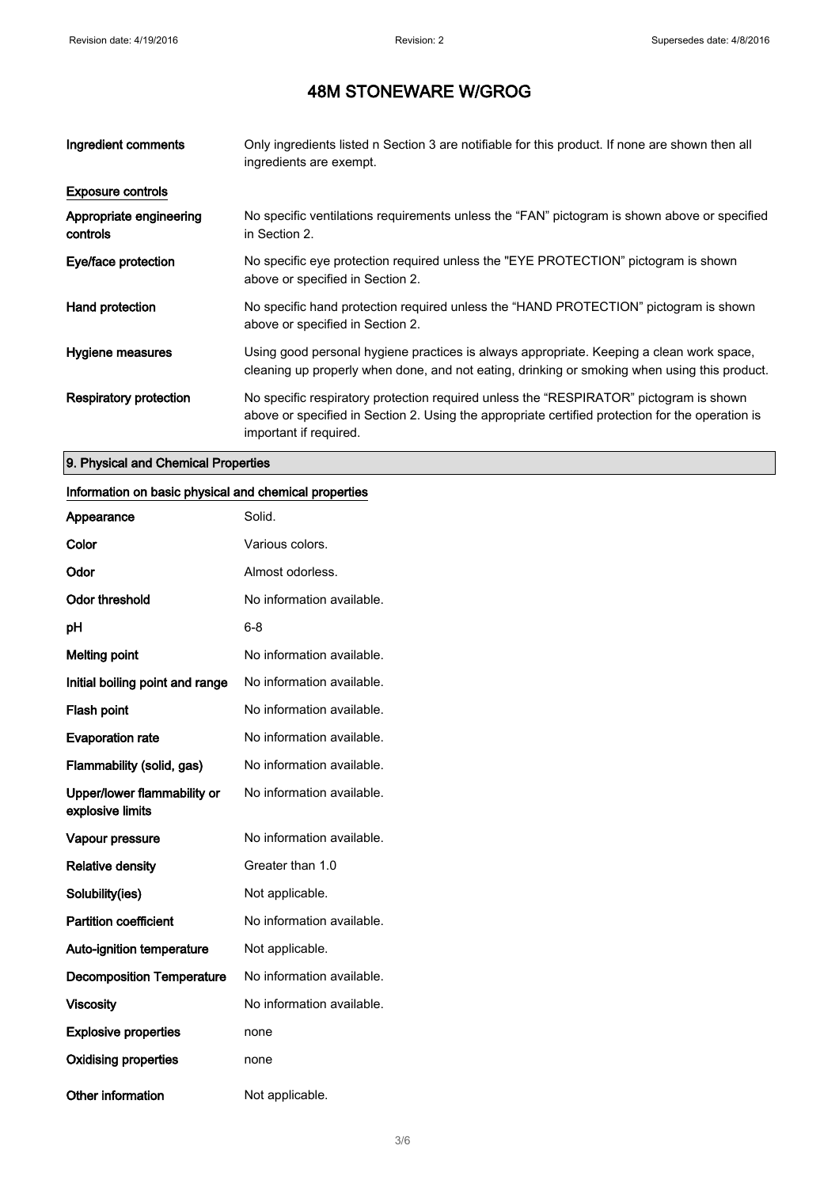| Ingredient comments                 | Only ingredients listed n Section 3 are notifiable for this product. If none are shown then all<br>ingredients are exempt.                                                                                           |
|-------------------------------------|----------------------------------------------------------------------------------------------------------------------------------------------------------------------------------------------------------------------|
| <b>Exposure controls</b>            |                                                                                                                                                                                                                      |
| Appropriate engineering<br>controls | No specific ventilations requirements unless the "FAN" pictogram is shown above or specified<br>in Section 2.                                                                                                        |
| Eye/face protection                 | No specific eye protection required unless the "EYE PROTECTION" pictogram is shown<br>above or specified in Section 2.                                                                                               |
| Hand protection                     | No specific hand protection required unless the "HAND PROTECTION" pictogram is shown<br>above or specified in Section 2.                                                                                             |
| Hygiene measures                    | Using good personal hygiene practices is always appropriate. Keeping a clean work space,<br>cleaning up properly when done, and not eating, drinking or smoking when using this product.                             |
| Respiratory protection              | No specific respiratory protection required unless the "RESPIRATOR" pictogram is shown<br>above or specified in Section 2. Using the appropriate certified protection for the operation is<br>important if required. |

### 9. Physical and Chemical Properties

### Information on basic physical and chemical properties

| Appearance                                      | Solid.                    |
|-------------------------------------------------|---------------------------|
| Color                                           | Various colors.           |
| Odor                                            | Almost odorless.          |
| <b>Odor threshold</b>                           | No information available. |
| рH                                              | $6 - 8$                   |
| <b>Melting point</b>                            | No information available. |
| Initial boiling point and range                 | No information available. |
| <b>Flash point</b>                              | No information available. |
| <b>Evaporation rate</b>                         | No information available. |
| Flammability (solid, gas)                       | No information available. |
| Upper/lower flammability or<br>explosive limits | No information available. |
| Vapour pressure                                 | No information available. |
| <b>Relative density</b>                         | Greater than 1.0          |
| Solubility(ies)                                 | Not applicable.           |
| <b>Partition coefficient</b>                    | No information available. |
| <b>Auto-ignition temperature</b>                | Not applicable.           |
| <b>Decomposition Temperature</b>                | No information available. |
| <b>Viscosity</b>                                | No information available. |
| <b>Explosive properties</b>                     | none                      |
| <b>Oxidising properties</b>                     | none                      |
| Other information                               | Not applicable.           |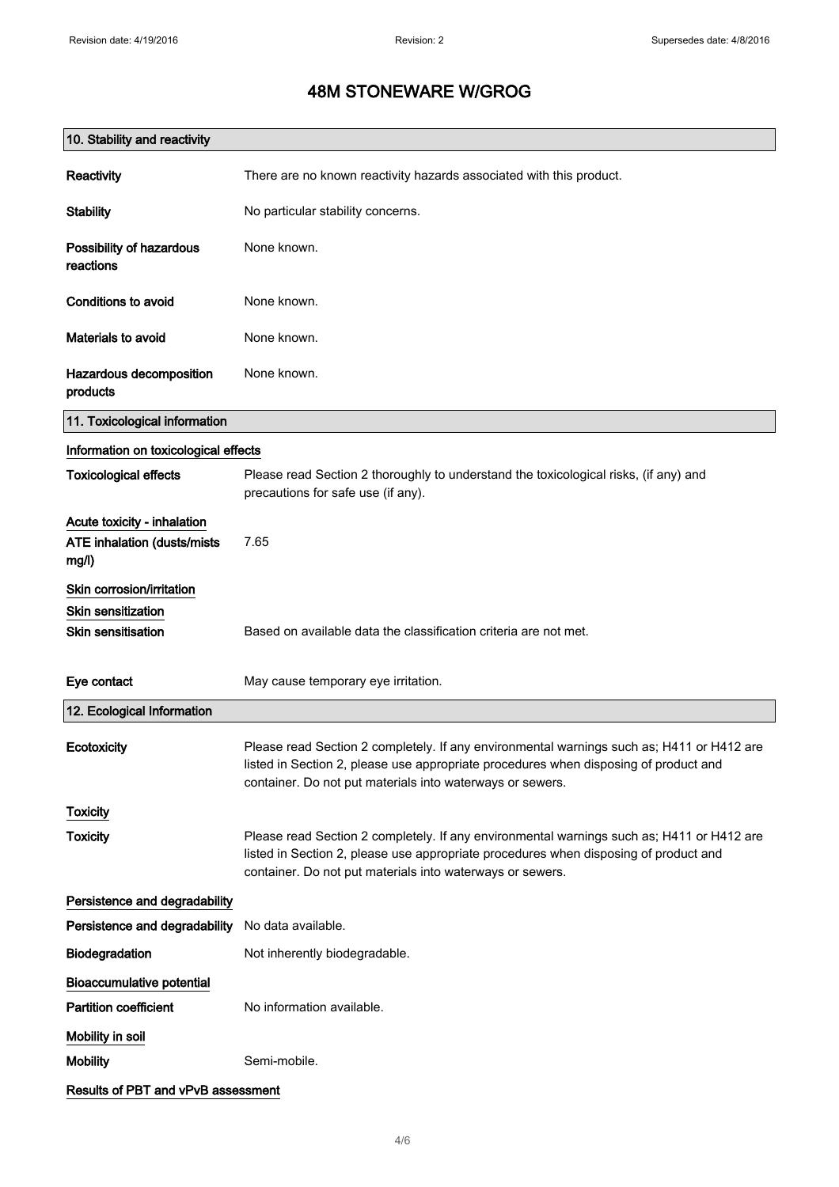| 10. Stability and reactivity                                        |                                                                                                                                                                                                                                                |  |
|---------------------------------------------------------------------|------------------------------------------------------------------------------------------------------------------------------------------------------------------------------------------------------------------------------------------------|--|
| <b>Reactivity</b>                                                   | There are no known reactivity hazards associated with this product.                                                                                                                                                                            |  |
| <b>Stability</b>                                                    | No particular stability concerns.                                                                                                                                                                                                              |  |
| Possibility of hazardous<br>reactions                               | None known.                                                                                                                                                                                                                                    |  |
| Conditions to avoid                                                 | None known.                                                                                                                                                                                                                                    |  |
| Materials to avoid                                                  | None known.                                                                                                                                                                                                                                    |  |
| Hazardous decomposition<br>products                                 | None known.                                                                                                                                                                                                                                    |  |
| 11. Toxicological information                                       |                                                                                                                                                                                                                                                |  |
| Information on toxicological effects                                |                                                                                                                                                                                                                                                |  |
| <b>Toxicological effects</b>                                        | Please read Section 2 thoroughly to understand the toxicological risks, (if any) and<br>precautions for safe use (if any).                                                                                                                     |  |
| Acute toxicity - inhalation<br>ATE inhalation (dusts/mists<br>mg/l) | 7.65                                                                                                                                                                                                                                           |  |
| Skin corrosion/irritation                                           |                                                                                                                                                                                                                                                |  |
| Skin sensitization                                                  |                                                                                                                                                                                                                                                |  |
| Skin sensitisation                                                  | Based on available data the classification criteria are not met.                                                                                                                                                                               |  |
| Eye contact                                                         | May cause temporary eye irritation.                                                                                                                                                                                                            |  |
| 12. Ecological Information                                          |                                                                                                                                                                                                                                                |  |
| Ecotoxicity                                                         | Please read Section 2 completely. If any environmental warnings such as; H411 or H412 are<br>listed in Section 2, please use appropriate procedures when disposing of product and<br>container. Do not put materials into waterways or sewers. |  |
| <b>Toxicity</b>                                                     |                                                                                                                                                                                                                                                |  |
| <b>Toxicity</b>                                                     | Please read Section 2 completely. If any environmental warnings such as; H411 or H412 are<br>listed in Section 2, please use appropriate procedures when disposing of product and<br>container. Do not put materials into waterways or sewers. |  |
| Persistence and degradability                                       |                                                                                                                                                                                                                                                |  |
| Persistence and degradability                                       | No data available.                                                                                                                                                                                                                             |  |
| Biodegradation                                                      | Not inherently biodegradable.                                                                                                                                                                                                                  |  |
| <b>Bioaccumulative potential</b>                                    |                                                                                                                                                                                                                                                |  |
| <b>Partition coefficient</b>                                        | No information available.                                                                                                                                                                                                                      |  |
| Mobility in soil                                                    |                                                                                                                                                                                                                                                |  |
| <b>Mobility</b>                                                     | Semi-mobile.                                                                                                                                                                                                                                   |  |
| Results of PBT and vPvB assessment                                  |                                                                                                                                                                                                                                                |  |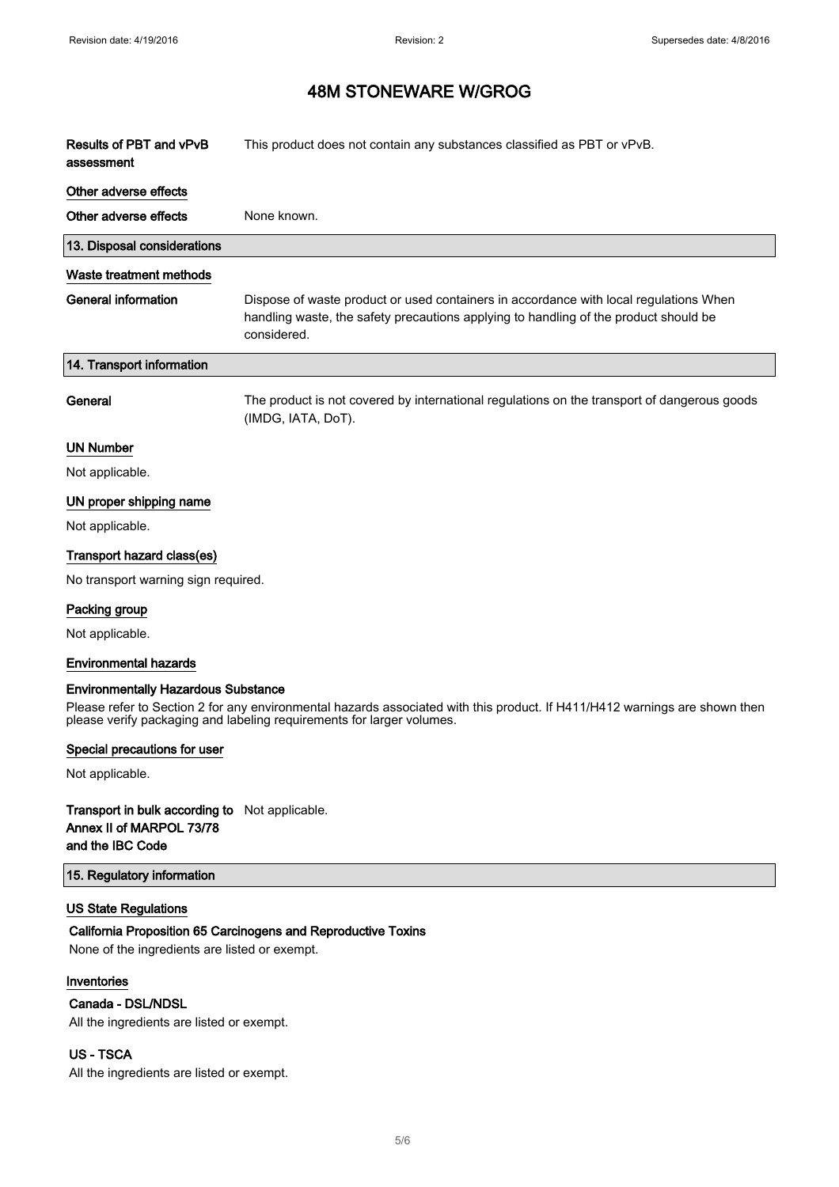$\overline{\phantom{a}}$ 

### 48M STONEWARE W/GROG

| Results of PBT and vPvB<br>assessment | This product does not contain any substances classified as PBT or vPvB.                                                                                                                      |
|---------------------------------------|----------------------------------------------------------------------------------------------------------------------------------------------------------------------------------------------|
| Other adverse effects                 |                                                                                                                                                                                              |
| Other adverse effects                 | None known.                                                                                                                                                                                  |
| 13. Disposal considerations           |                                                                                                                                                                                              |
| Waste treatment methods               |                                                                                                                                                                                              |
| <b>General information</b>            | Dispose of waste product or used containers in accordance with local regulations When<br>handling waste, the safety precautions applying to handling of the product should be<br>considered. |
| 14. Transport information             |                                                                                                                                                                                              |
| General                               | The product is not covered by international regulations on the transport of dangerous goods<br>(IMDG, IATA, DoT).                                                                            |
| <b>UN Number</b>                      |                                                                                                                                                                                              |
| Not applicable.                       |                                                                                                                                                                                              |
| UN proper shipping name               |                                                                                                                                                                                              |
| Not applicable.                       |                                                                                                                                                                                              |
| Transport hazard class(es)            |                                                                                                                                                                                              |
| No transport warning sign required.   |                                                                                                                                                                                              |
| Packing group                         |                                                                                                                                                                                              |
| Not applicable.                       |                                                                                                                                                                                              |
| <b>Environmental hazards</b>          |                                                                                                                                                                                              |

#### Environmentally Hazardous Substance

Please refer to Section 2 for any environmental hazards associated with this product. If H411/H412 warnings are shown then please verify packaging and labeling requirements for larger volumes.

#### Special precautions for user

Not applicable.

#### Transport in bulk according to Not applicable. Annex II of MARPOL 73/78 and the IBC Code

#### 15. Regulatory information

#### US State Regulations

#### California Proposition 65 Carcinogens and Reproductive Toxins

None of the ingredients are listed or exempt.

#### Inventories

#### Canada - DSL/NDSL

All the ingredients are listed or exempt.

#### US - TSCA

All the ingredients are listed or exempt.